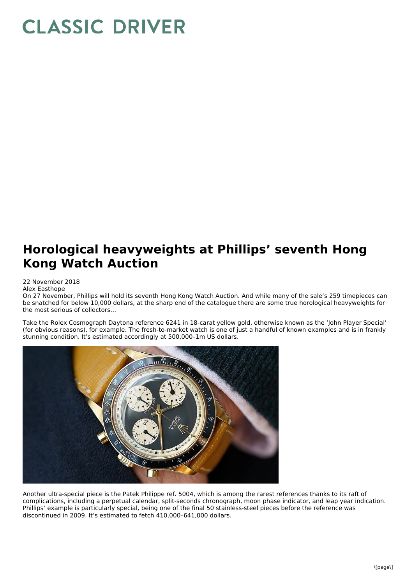## **CLASSIC DRIVER**

## **Horological heavyweights at Phillips' seventh Hong Kong Watch Auction**

## 22 November 2018

Alex Easthope

On 27 November, Phillips will hold its seventh Hong Kong Watch Auction. And while many of the sale's 259 timepieces can be snatched for below 10,000 dollars, at the sharp end of the catalogue there are some true horological heavyweights for the most serious of collectors…

Take the Rolex Cosmograph Daytona reference 6241 in 18-carat yellow gold, otherwise known as the 'John Player Special' (for obvious reasons), for example. The fresh-to-market watch is one of just a handful of known examples and is in frankly stunning condition. It's estimated accordingly at 500,000–1m US dollars.



Another ultra-special piece is the Patek Philippe ref. 5004, which is among the rarest references thanks to its raft of complications, including a perpetual calendar, split-seconds chronograph, moon phase indicator, and leap year indication. Phillips' example is particularly special, being one of the final 50 stainless-steel pieces before the reference was discontinued in 2009. It's estimated to fetch 410,000–641,000 dollars.